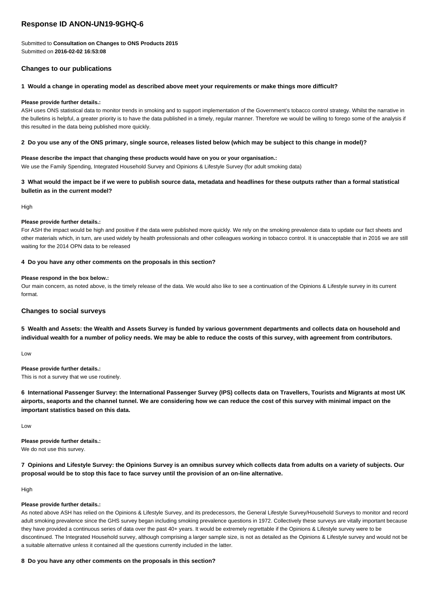# **Response ID ANON-UN19-9GHQ-6**

Submitted to **Consultation on Changes to ONS Products 2015** Submitted on **2016-02-02 16:53:08**

# **Changes to our publications**

## **1 Would a change in operating model as described above meet your requirements or make things more difficult?**

## **Please provide further details.:**

ASH uses ONS statistical data to monitor trends in smoking and to support implementation of the Government's tobacco control strategy. Whilst the narrative in the bulletins is helpful, a greater priority is to have the data published in a timely, regular manner. Therefore we would be willing to forego some of the analysis if this resulted in the data being published more quickly.

## **2 Do you use any of the ONS primary, single source, releases listed below (which may be subject to this change in model)?**

## **Please describe the impact that changing these products would have on you or your organisation.:** We use the Family Spending, Integrated Household Survey and Opinions & Lifestyle Survey (for adult smoking data)

## **3 What would the impact be if we were to publish source data, metadata and headlines for these outputs rather than a formal statistical bulletin as in the current model?**

High

## **Please provide further details.:**

For ASH the impact would be high and positive if the data were published more quickly. We rely on the smoking prevalence data to update our fact sheets and other materials which, in turn, are used widely by health professionals and other colleagues working in tobacco control. It is unacceptable that in 2016 we are still waiting for the 2014 OPN data to be released

## **4 Do you have any other comments on the proposals in this section?**

## **Please respond in the box below.:**

Our main concern, as noted above, is the timely release of the data. We would also like to see a continuation of the Opinions & Lifestyle survey in its current format.

## **Changes to social surveys**

**5 Wealth and Assets: the Wealth and Assets Survey is funded by various government departments and collects data on household and individual wealth for a number of policy needs. We may be able to reduce the costs of this survey, with agreement from contributors.**

Low

**Please provide further details.:** This is not a survey that we use routinely.

**6 International Passenger Survey: the International Passenger Survey (IPS) collects data on Travellers, Tourists and Migrants at most UK airports, seaports and the channel tunnel. We are considering how we can reduce the cost of this survey with minimal impact on the important statistics based on this data.**

Low

**Please provide further details.:** We do not use this survey.

**7 Opinions and Lifestyle Survey: the Opinions Survey is an omnibus survey which collects data from adults on a variety of subjects. Our proposal would be to stop this face to face survey until the provision of an on-line alternative.**

High

## **Please provide further details.:**

As noted above ASH has relied on the Opinions & Lifestyle Survey, and its predecessors, the General Lifestyle Survey/Household Surveys to monitor and record adult smoking prevalence since the GHS survey began including smoking prevalence questions in 1972. Collectively these surveys are vitally important because they have provided a continuous series of data over the past 40+ years. It would be extremely regrettable if the Opinions & Lifestyle survey were to be discontinued. The Integrated Household survey, although comprising a larger sample size, is not as detailed as the Opinions & Lifestyle survey and would not be a suitable alternative unless it contained all the questions currently included in the latter.

## **8 Do you have any other comments on the proposals in this section?**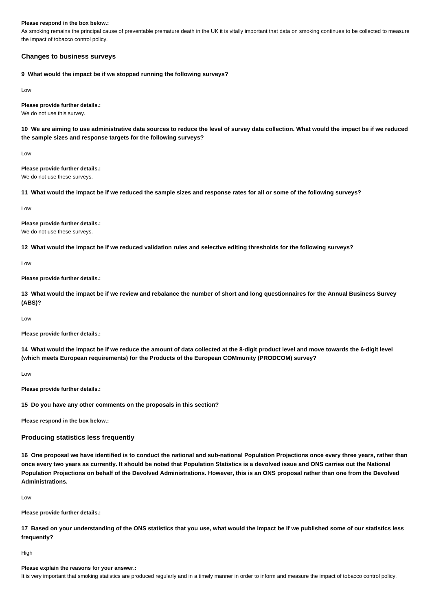### **Please respond in the box below.:**

As smoking remains the principal cause of preventable premature death in the UK it is vitally important that data on smoking continues to be collected to measure the impact of tobacco control policy.

## **Changes to business surveys**

**9 What would the impact be if we stopped running the following surveys?**

Low

**Please provide further details.:**

We do not use this survey.

**10 We are aiming to use administrative data sources to reduce the level of survey data collection. What would the impact be if we reduced the sample sizes and response targets for the following surveys?**

Low

**Please provide further details.:** We do not use these surveys.

**11 What would the impact be if we reduced the sample sizes and response rates for all or some of the following surveys?**

Low

**Please provide further details.:** We do not use these surveys.

**12 What would the impact be if we reduced validation rules and selective editing thresholds for the following surveys?**

Low

**Please provide further details.:**

**13 What would the impact be if we review and rebalance the number of short and long questionnaires for the Annual Business Survey (ABS)?**

Low

**Please provide further details.:**

**14 What would the impact be if we reduce the amount of data collected at the 8-digit product level and move towards the 6-digit level (which meets European requirements) for the Products of the European COMmunity (PRODCOM) survey?**

Low

**Please provide further details.:**

**15 Do you have any other comments on the proposals in this section?**

**Please respond in the box below.:**

## **Producing statistics less frequently**

**16 One proposal we have identified is to conduct the national and sub-national Population Projections once every three years, rather than once every two years as currently. It should be noted that Population Statistics is a devolved issue and ONS carries out the National Population Projections on behalf of the Devolved Administrations. However, this is an ONS proposal rather than one from the Devolved Administrations.**

Low

**Please provide further details.:**

**17 Based on your understanding of the ONS statistics that you use, what would the impact be if we published some of our statistics less frequently?**

High

#### **Please explain the reasons for your answer.:**

It is very important that smoking statistics are produced regularly and in a timely manner in order to inform and measure the impact of tobacco control policy.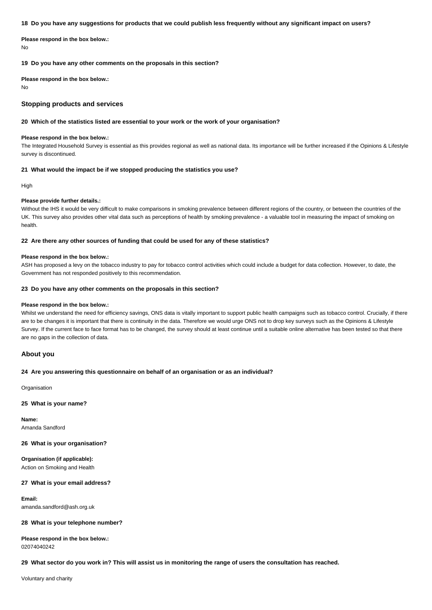#### **18 Do you have any suggestions for products that we could publish less frequently without any significant impact on users?**

**Please respond in the box below.:** No

**19 Do you have any other comments on the proposals in this section?**

**Please respond in the box below.:** No

## **Stopping products and services**

## **20 Which of the statistics listed are essential to your work or the work of your organisation?**

#### **Please respond in the box below.:**

The Integrated Household Survey is essential as this provides regional as well as national data. Its importance will be further increased if the Opinions & Lifestyle survey is discontinued.

## **21 What would the impact be if we stopped producing the statistics you use?**

High

#### **Please provide further details.:**

Without the IHS it would be very difficult to make comparisons in smoking prevalence between different regions of the country, or between the countries of the UK. This survey also provides other vital data such as perceptions of health by smoking prevalence - a valuable tool in measuring the impact of smoking on health.

## **22 Are there any other sources of funding that could be used for any of these statistics?**

### **Please respond in the box below.:**

ASH has proposed a levy on the tobacco industry to pay for tobacco control activities which could include a budget for data collection. However, to date, the Government has not responded positively to this recommendation.

## **23 Do you have any other comments on the proposals in this section?**

#### **Please respond in the box below.:**

Whilst we understand the need for efficiency savings, ONS data is vitally important to support public health campaigns such as tobacco control. Crucially, if there are to be changes it is important that there is continuity in the data. Therefore we would urge ONS not to drop key surveys such as the Opinions & Lifestyle Survey. If the current face to face format has to be changed, the survey should at least continue until a suitable online alternative has been tested so that there are no gaps in the collection of data.

## **About you**

#### **24 Are you answering this questionnaire on behalf of an organisation or as an individual?**

**Organisation** 

## **25 What is your name?**

**Name:** Amanda Sandford

**26 What is your organisation?**

**Organisation (if applicable):** Action on Smoking and Health

#### **27 What is your email address?**

**Email:** amanda.sandford@ash.org.uk

#### **28 What is your telephone number?**

**Please respond in the box below.:** 02074040242

**29 What sector do you work in? This will assist us in monitoring the range of users the consultation has reached.**